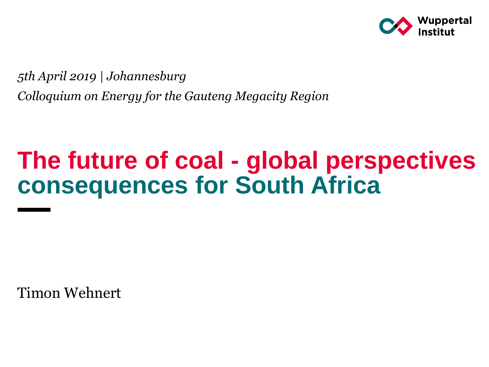

*5th April 2019 | Johannesburg Colloquium on Energy for the Gauteng Megacity Region*

# **The future of coal - global perspectives consequences for South Africa**

Timon Wehnert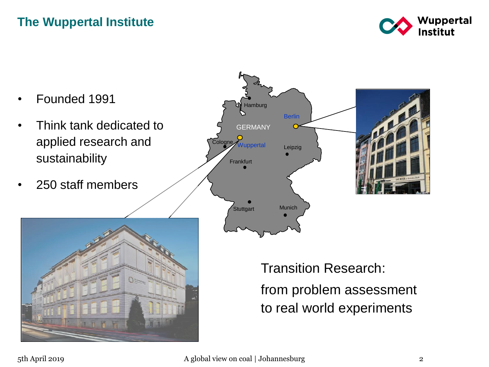#### **The Wuppertal Institute**



- Founded 1991
- Think tank dedicated to applied research and sustainability
- 250 staff members





Transition Research: from problem assessment to real world experiments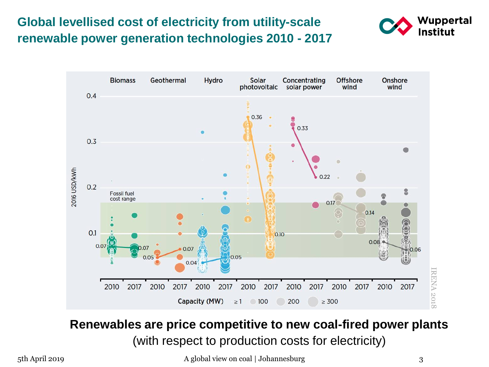#### **Global levellised cost of electricity from utility-scale renewable power generation technologies 2010 - 2017**





#### **Renewables are price competitive to new coal-fired power plants**  (with respect to production costs for electricity)

5th April 2019 **A global view on coal | Johannesburg** 3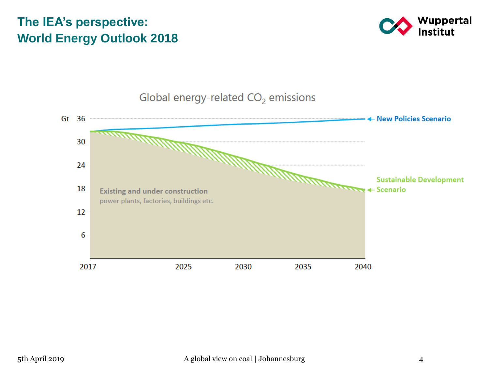#### **The IEA's perspective: World Energy Outlook 2018**





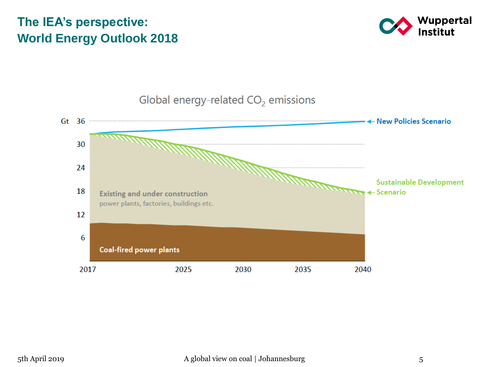#### **The IEA's perspective: World Energy Outlook 2018**





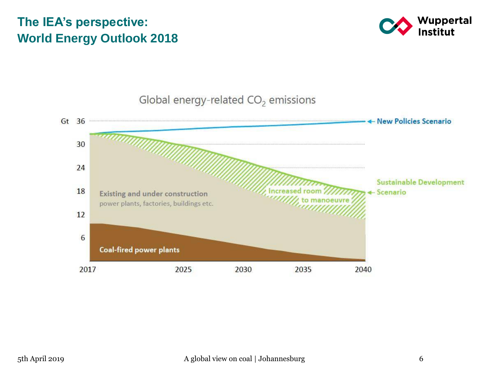#### **The IEA's perspective: World Energy Outlook 2018**



Global energy-related  $CO<sub>2</sub>$  emissions

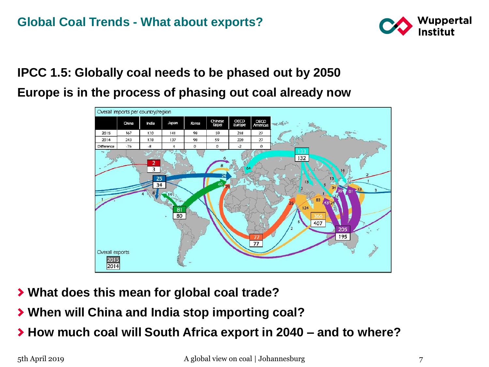

#### **IPCC 1.5: Globally coal needs to be phased out by 2050 Europe is in the process of phasing out coal already now**



- **What does this mean for global coal trade?**
- **When will China and India stop importing coal?**
- **How much coal will South Africa export in 2040 – and to where?**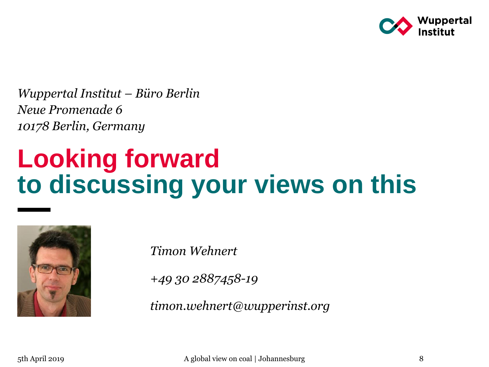

*Wuppertal Institut – Büro Berlin Neue Promenade 6 10178 Berlin, Germany*

# **Looking forward to discussing your views on this**



*Timon Wehnert*

*+49 30 2887458-19*

*timon.wehnert@wupperinst.org*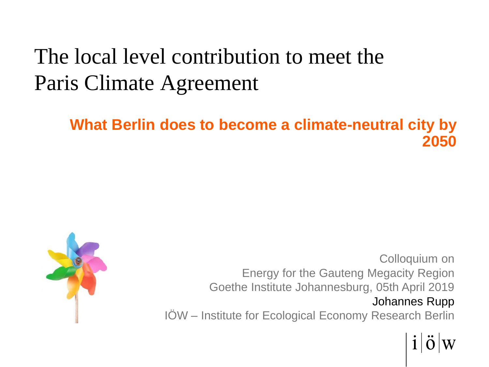# The local level contribution to meet the Paris Climate Agreement

#### **What Berlin does to become a climate-neutral city by 2050**



Colloquium on Energy for the Gauteng Megacity Region Goethe Institute Johannesburg, 05th April 2019 Johannes Rupp IÖW – Institute for Ecological Economy Research Berlin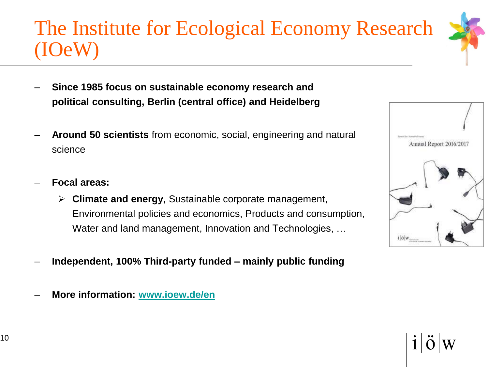# The Institute for Ecological Economy Research (IOeW)

- **Since 1985 focus on sustainable economy research and political consulting, Berlin (central office) and Heidelberg**
- **Around 50 scientists** from economic, social, engineering and natural science
- **Focal areas:** 
	- ➢ **Climate and energy**, Sustainable corporate management, Environmental policies and economics, Products and consumption, Water and land management, Innovation and Technologies, …
- **Independent, 100% Third-party funded – mainly public funding**
- **More information: www.ioew.de/en**



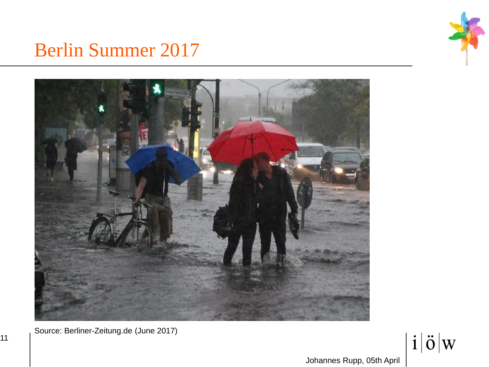

# Berlin Summer 2017



Source: Berliner-Zeitung.de (June 2017)

11

 $\int$  i  $|\ddot{o}|w$ 

Johannes Rupp, 05th April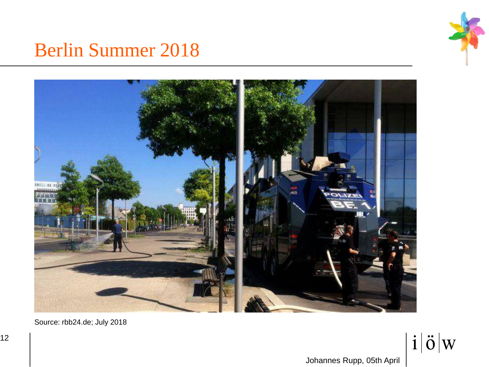

## Berlin Summer 2018



Source: rbb24.de; July 2018

 $\int$  i  $|\ddot{o}|w$ 

Johannes Rupp, 05th April

12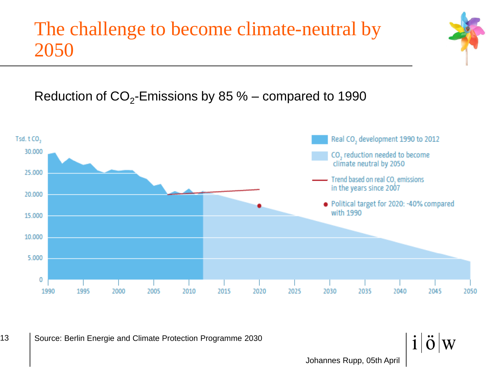# The challenge to become climate-neutral by 2050

Reduction of  $CO_2$ -Emissions by 85 % – compared to 1990



Johannes Rupp, 05th April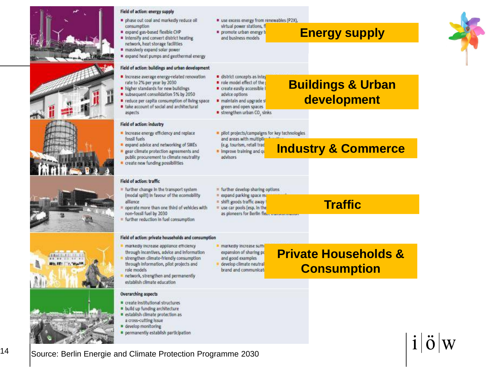

#### Field of action: energy supply

- phase out coal and markedly reduce oil consumption
- expand gas-based flexible CHP Intensify and convert district heating network, heat storage facilities
- massively expand solar power
- expand heat pumps and geothermal energy

#### Field of action: buildings and urban development

- Increase average energy-related renovation rate to 2% per year by 2030
- higher standards for new buildings
- subsequent consolidation 5% by 2050
- reduce per capita consumption of living space take account of social and architectural aspects
- Field of action: industry

Field of action: traffic

non-fossil fuel by 2030

alliance

- · Increase energy efficiency and replace fossil fuels
- expand advice and networking of SMEs
- pear climate protection agreements and public procurement to climate neutrality
- create new funding possibilities

= further change in the transport system

= further reduction in fuel consumption

· markedly increase appliance efficiency through incentives, advice and information

strengthen climate-friendly consumption

(modal split) in favour of the ecomobility

operate more than one third of vehicles with

use excess energy from renewables (P2X). virtual power stations, fl

promote urban energy to

and business models

district concepts as integ

p role model effect of the create easily accessible

maintain and upgrade st

green and open spaces

strengthen urban CO, sinks

advice options

**Energy supply**



#### **Buildings & Urban development**

**Industry & Commerce**

- pilot projects/campaigns for key technologies and areas with multiplic
- (e.g. tourism, retail trac

= further develop sharing options

expand parking space ma shift goods traffic away

# use car pools (esp. in the

as ploneers for Berlin fle.

\* Improve training and gr advisors







- 
- e develop monitoring
- permanently establish participation
- Field of action: private households and consumption
	- markedly increase suffi expansion of sharing po
	- and good examples
	- develop climate neutral brand and communicat
- **Private Households & Consumption**

**Traffic**

Source: Berlin Energie and Climate Protection Programme 2030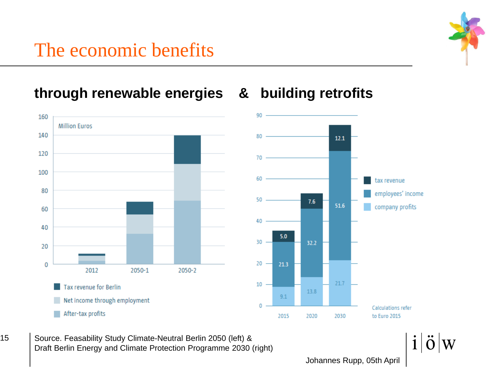# The economic benefits

**through renewable energies & building retrofits**





15 | Source. Feasability Study Climate-Neutral Berlin 2050 (left) & Draft Berlin Energy and Climate Protection Programme 2030 (right)

Johannes Rupp, 05th April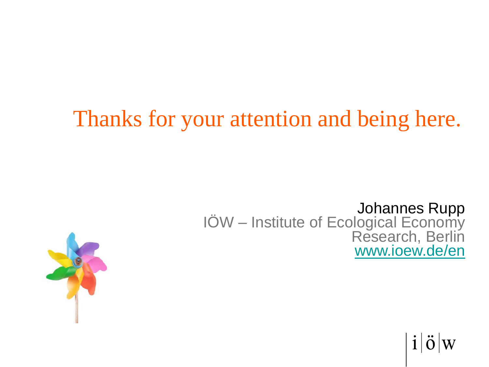# Thanks for your attention and being here.

#### Johannes Rupp IÖW – Institute of Ecological Economy Research, Berlin www.ioew.de/en



 $\ddot{\mathrm{o}}$  W  $1\vert$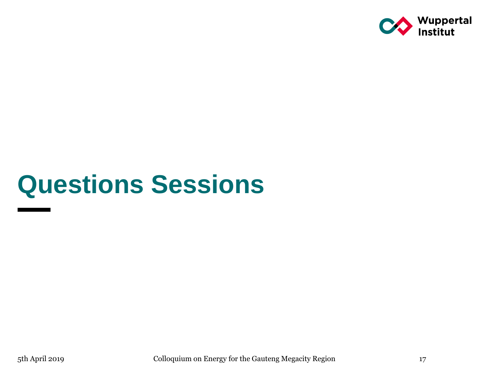

# **Questions Sessions**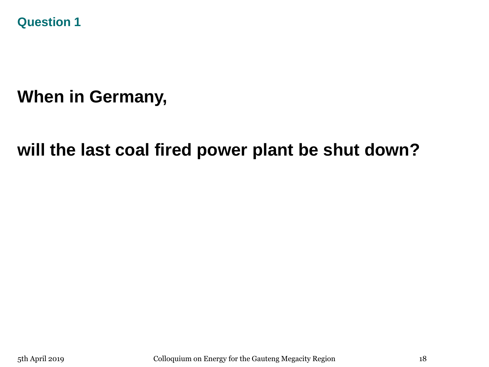**Question 1**

## **When in Germany,**

### **will the last coal fired power plant be shut down?**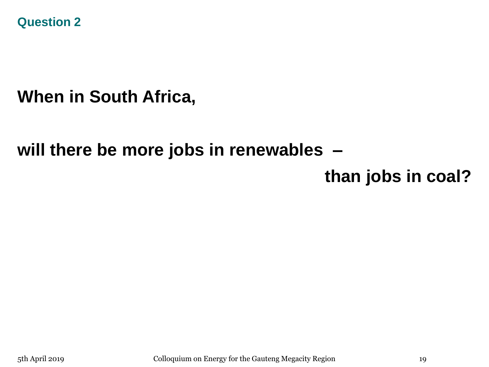**Question 2**

### **When in South Africa,**

### **will there be more jobs in renewables –**

### **than jobs in coal?**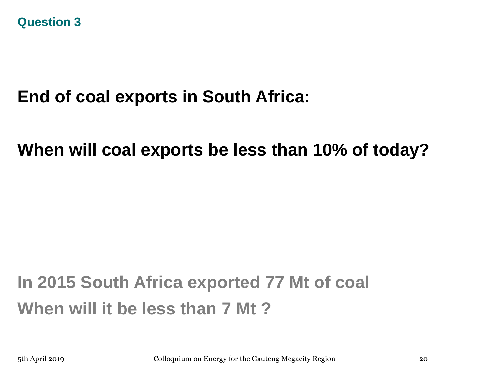## **End of coal exports in South Africa:**

**When will coal exports be less than 10% of today?**

# **In 2015 South Africa exported 77 Mt of coal When will it be less than 7 Mt ?**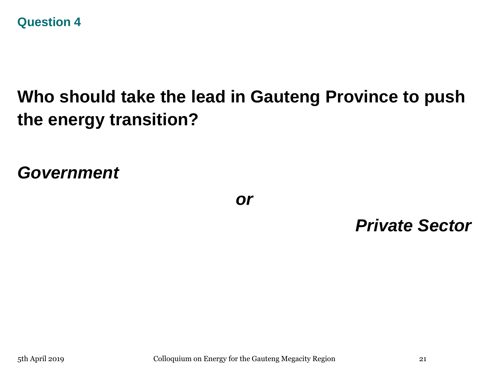

## **Who should take the lead in Gauteng Province to push the energy transition?**

*Government*

*or*

*Private Sector*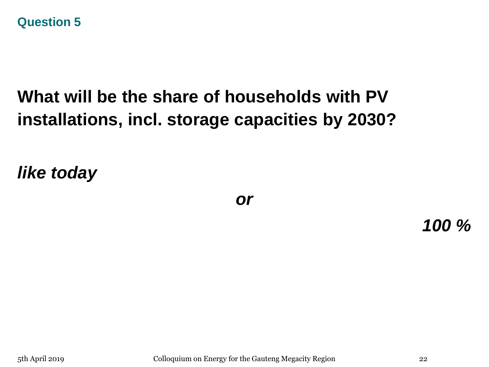#### **Question 5**

## **What will be the share of households with PV installations, incl. storage capacities by 2030?**

*like today*

*or*

*100 %*